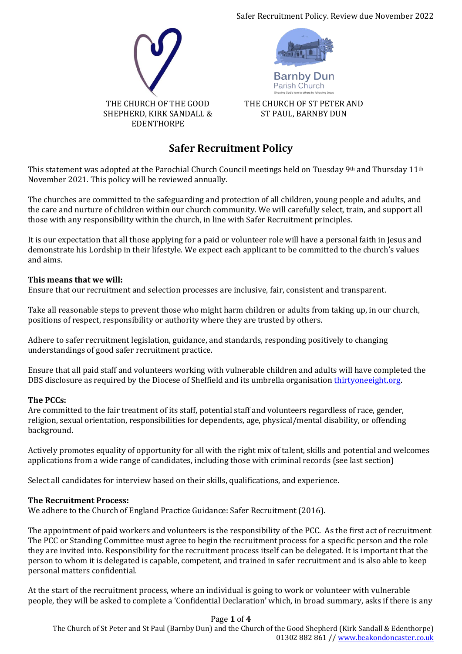Safer Recruitment Policy. Review due November 2022





**Barnby Dur** Parish Church

THE CHURCH OF ST PETER AND ST PAUL, BARNBY DUN

# **Safer Recruitment Policy**

This statement was adopted at the Parochial Church Council meetings held on Tuesday 9<sup>th</sup> and Thursday 11<sup>th</sup> November 2021. This policy will be reviewed annually.

The churches are committed to the safeguarding and protection of all children, young people and adults, and the care and nurture of children within our church community. We will carefully select, train, and support all those with any responsibility within the church, in line with Safer Recruitment principles.

It is our expectation that all those applying for a paid or volunteer role will have a personal faith in Jesus and demonstrate his Lordship in their lifestyle. We expect each applicant to be committed to the church's values and aims.

## **This means that we will:**

Ensure that our recruitment and selection processes are inclusive, fair, consistent and transparent.

Take all reasonable steps to prevent those who might harm children or adults from taking up, in our church, positions of respect, responsibility or authority where they are trusted by others.

Adhere to safer recruitment legislation, guidance, and standards, responding positively to changing understandings of good safer recruitment practice.

Ensure that all paid staff and volunteers working with vulnerable children and adults will have completed the DBS disclosure as required by the Diocese of Sheffield and its umbrella organisatio[n thirtyoneeight.org.](http://www.thirtyoneeight.org/)

### **The PCCs:**

Are committed to the fair treatment of its staff, potential staff and volunteers regardless of race, gender, religion, sexual orientation, responsibilities for dependents, age, physical/mental disability, or offending background.

Actively promotes equality of opportunity for all with the right mix of talent, skills and potential and welcomes applications from a wide range of candidates, including those with criminal records (see last section)

Select all candidates for interview based on their skills, qualifications, and experience.

### **The Recruitment Process:**

We adhere to the Church of England Practice Guidance: Safer Recruitment (2016).

The appointment of paid workers and volunteers is the responsibility of the PCC. As the first act of recruitment The PCC or Standing Committee must agree to begin the recruitment process for a specific person and the role they are invited into. Responsibility for the recruitment process itself can be delegated. It is important that the person to whom it is delegated is capable, competent, and trained in safer recruitment and is also able to keep personal matters confidential.

At the start of the recruitment process, where an individual is going to work or volunteer with vulnerable people, they will be asked to complete a 'Confidential Declaration' which, in broad summary, asks if there is any

### Page **1** of **4**

The Church of St Peter and St Paul (Barnby Dun) and the Church of the Good Shepherd (Kirk Sandall & Edenthorpe) 01302 882 861 /[/ www.beakondoncaster.co.uk](http://www.beakondoncaster.co.uk/)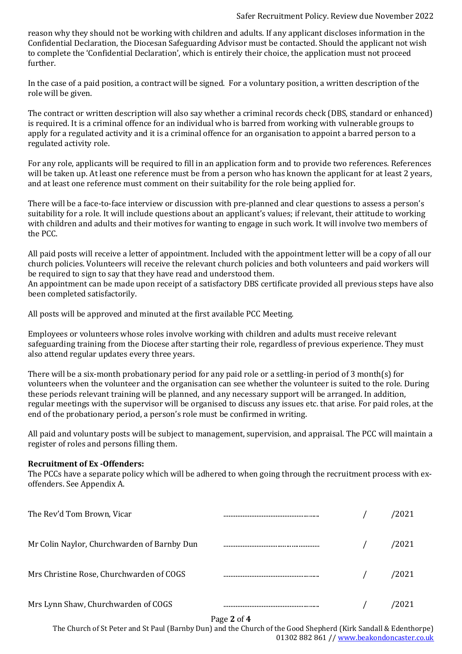reason why they should not be working with children and adults. If any applicant discloses information in the Confidential Declaration, the Diocesan Safeguarding Advisor must be contacted. Should the applicant not wish to complete the 'Confidential Declaration', which is entirely their choice, the application must not proceed further.

In the case of a paid position, a contract will be signed. For a voluntary position, a written description of the role will be given.

The contract or written description will also say whether a criminal records check (DBS, standard or enhanced) is required. It is a criminal offence for an individual who is barred from working with vulnerable groups to apply for a regulated activity and it is a criminal offence for an organisation to appoint a barred person to a regulated activity role.

For any role, applicants will be required to fill in an application form and to provide two references. References will be taken up. At least one reference must be from a person who has known the applicant for at least 2 years, and at least one reference must comment on their suitability for the role being applied for.

There will be a face-to-face interview or discussion with pre-planned and clear questions to assess a person's suitability for a role. It will include questions about an applicant's values; if relevant, their attitude to working with children and adults and their motives for wanting to engage in such work. It will involve two members of the PCC.

All paid posts will receive a letter of appointment. Included with the appointment letter will be a copy of all our church policies. Volunteers will receive the relevant church policies and both volunteers and paid workers will be required to sign to say that they have read and understood them.

An appointment can be made upon receipt of a satisfactory DBS certificate provided all previous steps have also been completed satisfactorily.

All posts will be approved and minuted at the first available PCC Meeting.

Employees or volunteers whose roles involve working with children and adults must receive relevant safeguarding training from the Diocese after starting their role, regardless of previous experience. They must also attend regular updates every three years.

There will be a six-month probationary period for any paid role or a settling-in period of 3 month(s) for volunteers when the volunteer and the organisation can see whether the volunteer is suited to the role. During these periods relevant training will be planned, and any necessary support will be arranged. In addition, regular meetings with the supervisor will be organised to discuss any issues etc. that arise. For paid roles, at the end of the probationary period, a person's role must be confirmed in writing.

All paid and voluntary posts will be subject to management, supervision, and appraisal. The PCC will maintain a register of roles and persons filling them.

### **Recruitment of Ex -Offenders:**

The PCCs have a separate policy which will be adhered to when going through the recruitment process with exoffenders. See Appendix A.

| The Rev'd Tom Brown, Vicar                  |  | 2021 |
|---------------------------------------------|--|------|
| Mr Colin Naylor, Churchwarden of Barnby Dun |  | 2021 |
| Mrs Christine Rose, Churchwarden of COGS    |  | 2021 |
| Mrs Lynn Shaw, Churchwarden of COGS         |  |      |

### Page **2** of **4**

The Church of St Peter and St Paul (Barnby Dun) and the Church of the Good Shepherd (Kirk Sandall & Edenthorpe) 01302 882 861 /[/ www.beakondoncaster.co.uk](http://www.beakondoncaster.co.uk/)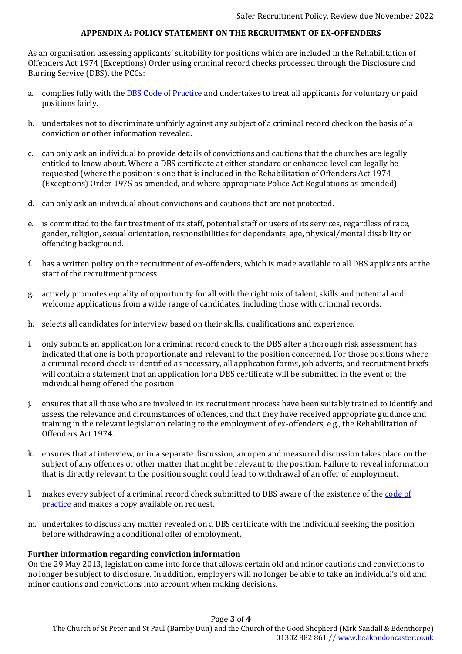### **APPENDIX A: POLICY STATEMENT ON THE RECRUITMENT OF EX-OFFENDERS**

As an organisation assessing applicants' suitability for positions which are included in the Rehabilitation of Offenders Act 1974 (Exceptions) Order using criminal record checks processed through the Disclosure and Barring Service (DBS), the PCCs:

- a. complies fully with the [DBS Code of Practice](https://www.gov.uk/government/publications/dbs-code-of-practice) and undertakes to treat all applicants for voluntary or paid positions fairly.
- b. undertakes not to discriminate unfairly against any subject of a criminal record check on the basis of a conviction or other information revealed.
- c. can only ask an individual to provide details of convictions and cautions that the churches are legally entitled to know about. Where a DBS certificate at either standard or enhanced level can legally be requested (where the position is one that is included in the Rehabilitation of Offenders Act 1974 (Exceptions) Order 1975 as amended, and where appropriate Police Act Regulations as amended).
- d. can only ask an individual about convictions and cautions that are not protected.
- e. is committed to the fair treatment of its staff, potential staff or users of its services, regardless of race, gender, religion, sexual orientation, responsibilities for dependants, age, physical/mental disability or offending background.
- f. has a written policy on the recruitment of ex-offenders, which is made available to all DBS applicants at the start of the recruitment process.
- g. actively promotes equality of opportunity for all with the right mix of talent, skills and potential and welcome applications from a wide range of candidates, including those with criminal records.
- h. selects all candidates for interview based on their skills, qualifications and experience.
- i. only submits an application for a criminal record check to the DBS after a thorough risk assessment has indicated that one is both proportionate and relevant to the position concerned. For those positions where a criminal record check is identified as necessary, all application forms, job adverts, and recruitment briefs will contain a statement that an application for a DBS certificate will be submitted in the event of the individual being offered the position.
- j. ensures that all those who are involved in its recruitment process have been suitably trained to identify and assess the relevance and circumstances of offences, and that they have received appropriate guidance and training in the relevant legislation relating to the employment of ex-offenders, e.g., the Rehabilitation of Offenders Act 1974.
- k. ensures that at interview, or in a separate discussion, an open and measured discussion takes place on the subject of any offences or other matter that might be relevant to the position. Failure to reveal information that is directly relevant to the position sought could lead to withdrawal of an offer of employment.
- l. makes every subject of a criminal record check submitted to DBS aware of the existence of the code of [practice](https://www.gov.uk/government/publications/dbs-code-of-practice) and makes a copy available on request.
- m. undertakes to discuss any matter revealed on a DBS certificate with the individual seeking the position before withdrawing a conditional offer of employment.

### **Further information regarding conviction information**

On the 29 May 2013, legislation came into force that allows certain old and minor cautions and convictions to no longer be subject to disclosure. In addition, employers will no longer be able to take an individual's old and minor cautions and convictions into account when making decisions.